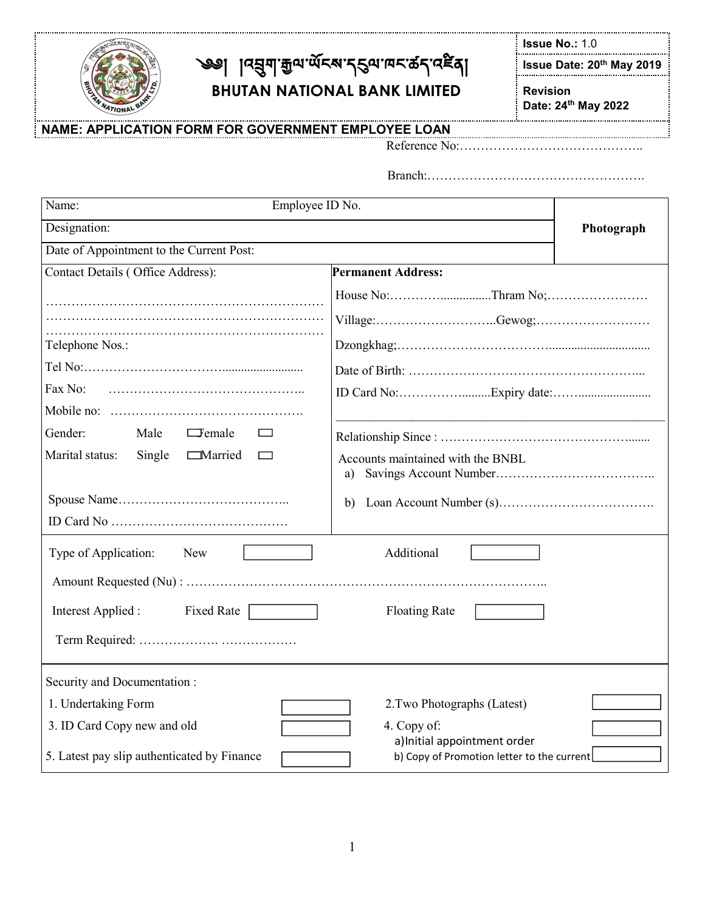

# ্জ্ঞ৷ ৷ ৷ ৷ এপ্রিন্স গ্রু<sub>ত্য শু</sub>হন্ম প্রয়াৰ্ছ ব্রা **BHUTAN NATIONAL BANK LIMITED**

**Issue No.:** 1.0

**Issue Date: 20 th May 2019**

**Revision Date: 24 th May 2022** 

#### **NAME: APPLICATION FORM FOR GOVERNMENT EMPLOYEE LOAN**

Reference No:……………………………………..

Branch:…………………………………………….

| Name:<br>Employee ID No.                              |                                                                            | Photograph |
|-------------------------------------------------------|----------------------------------------------------------------------------|------------|
| Designation:                                          |                                                                            |            |
| Date of Appointment to the Current Post:              |                                                                            |            |
| Contact Details (Office Address):                     | <b>Permanent Address:</b>                                                  |            |
|                                                       |                                                                            |            |
|                                                       |                                                                            |            |
| Telephone Nos.:                                       |                                                                            |            |
|                                                       |                                                                            |            |
| Fax No:                                               |                                                                            |            |
|                                                       |                                                                            |            |
| Gender:<br>Male<br>$\Box$ emale<br>$\Box$             |                                                                            |            |
| Marital status:<br>Single<br><b>Married</b><br>$\Box$ | Accounts maintained with the BNBL<br>a)                                    |            |
|                                                       | b)                                                                         |            |
|                                                       |                                                                            |            |
| Type of Application:<br>New                           | Additional                                                                 |            |
|                                                       |                                                                            |            |
| <b>Fixed Rate</b><br>Interest Applied :               | <b>Floating Rate</b>                                                       |            |
|                                                       |                                                                            |            |
| Security and Documentation:                           |                                                                            |            |
| 1. Undertaking Form                                   | 2. Two Photographs (Latest)                                                |            |
| 3. ID Card Copy new and old                           | 4. Copy of:                                                                |            |
| 5. Latest pay slip authenticated by Finance           | a) Initial appointment order<br>b) Copy of Promotion letter to the current |            |